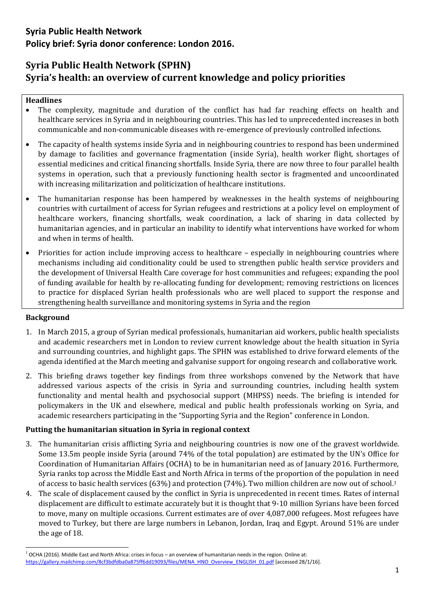# **Syria Public Health Network (SPHN) Syria's health: an overview of current knowledge and policy priorities**

#### **Headlines**

- The complexity, magnitude and duration of the conflict has had far reaching effects on health and healthcare services in Syria and in neighbouring countries. This has led to unprecedented increases in both communicable and non-communicable diseases with re-emergence of previously controlled infections.
- The capacity of health systems inside Syria and in neighbouring countries to respond has been undermined by damage to facilities and governance fragmentation (inside Syria), health worker flight, shortages of essential medicines and critical financing shortfalls. Inside Syria, there are now three to four parallel health systems in operation, such that a previously functioning health sector is fragmented and uncoordinated with increasing militarization and politicization of healthcare institutions.
- The humanitarian response has been hampered by weaknesses in the health systems of neighbouring countries with curtailment of access for Syrian refugees and restrictions at a policy level on employment of healthcare workers, financing shortfalls, weak coordination, a lack of sharing in data collected by humanitarian agencies, and in particular an inability to identify what interventions have worked for whom and when in terms of health.
- Priorities for action include improving access to healthcare especially in neighbouring countries where mechanisms including aid conditionality could be used to strengthen public health service providers and the development of Universal Health Care coverage for host communities and refugees; expanding the pool of funding available for health by re-allocating funding for development; removing restrictions on licences to practice for displaced Syrian health professionals who are well placed to support the response and strengthening health surveillance and monitoring systems in Syria and the region

### **Background**

**.** 

- 1. In March 2015, a group of Syrian medical professionals, humanitarian aid workers, public health specialists and academic researchers met in London to review current knowledge about the health situation in Syria and surrounding countries, and highlight gaps. The SPHN was established to drive forward elements of the agenda identified at the March meeting and galvanise support for ongoing research and collaborative work.
- 2. This briefing draws together key findings from three workshops convened by the Network that have addressed various aspects of the crisis in Syria and surrounding countries, including health system functionality and mental health and psychosocial support (MHPSS) needs. The briefing is intended for policymakers in the UK and elsewhere, medical and public health professionals working on Syria, and academic researchers participating in the "Supporting Syria and the Region" conference in London.

### **Putting the humanitarian situation in Syria in regional context**

- 3. The humanitarian crisis afflicting Syria and neighbouring countries is now one of the gravest worldwide. Some 13.5m people inside Syria (around 74% of the total population) are estimated by the UN's Office for Coordination of Humanitarian Affairs (OCHA) to be in humanitarian need as of January 2016. Furthermore, Syria ranks top across the Middle East and North Africa in terms of the proportion of the population in need of access to basic health services (63%) and protection (74%). Two million children are now out of school.<sup>1</sup>
- 4. The scale of displacement caused by the conflict in Syria is unprecedented in recent times. Rates of internal displacement are difficult to estimate accurately but it is thought that 9-10 million Syrians have been forced to move, many on multiple occasions. Current estimates are of over 4,087,000 refugees. Most refugees have moved to Turkey, but there are large numbers in Lebanon, Jordan, Iraq and Egypt. Around 51% are under the age of 18.

 $1$  OCHA (2016). Middle East and North Africa: crises in focus – an overview of humanitarian needs in the region. Online at: [https://gallery.mailchimp.com/8cf3bdfdba0a875ff6dd19093/files/MENA\\_HNO\\_Overview\\_ENGLISH\\_01.pdf](https://gallery.mailchimp.com/8cf3bdfdba0a875ff6dd19093/files/MENA_HNO_Overview_ENGLISH_01.pdf) [accessed 28/1/16].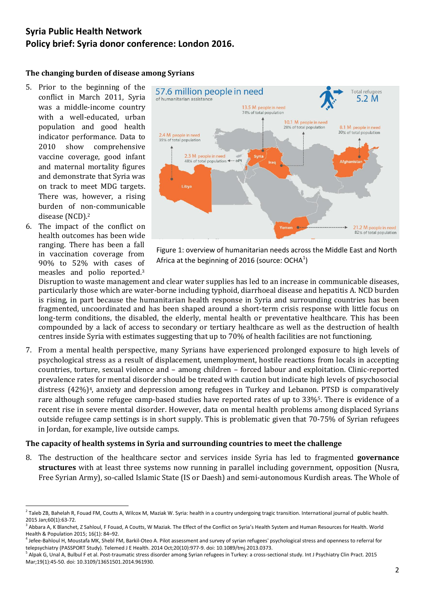#### **The changing burden of disease among Syrians**

- 5. Prior to the beginning of the conflict in March 2011, Syria was a middle-income country with a well-educated, urban population and good health indicator performance. Data to 2010 show comprehensive vaccine coverage, good infant and maternal mortality figures and demonstrate that Syria was on track to meet MDG targets. There was, however, a rising burden of non-communicable disease (NCD).<sup>2</sup>
- 6. The impact of the conflict on health outcomes has been wide ranging. There has been a fall in vaccination coverage from 90% to 52% with cases of measles and polio reported.<sup>3</sup>

**.** 



Figure 1: overview of humanitarian needs across the Middle East and North Africa at the beginning of 2016 (source: OCHA $^{1}$ )

Disruption to waste management and clear water supplies has led to an increase in communicable diseases, particularly those which are water-borne including typhoid, diarrhoeal disease and hepatitis A. NCD burden is rising, in part because the humanitarian health response in Syria and surrounding countries has been fragmented, uncoordinated and has been shaped around a short-term crisis response with little focus on long-term conditions, the disabled, the elderly, mental health or preventative healthcare. This has been compounded by a lack of access to secondary or tertiary healthcare as well as the destruction of health centres inside Syria with estimates suggesting that up to 70% of health facilities are not functioning.

7. From a mental health perspective, many Syrians have experienced prolonged exposure to high levels of psychological stress as a result of displacement, unemployment, hostile reactions from locals in accepting countries, torture, sexual violence and – among children – forced labour and exploitation. Clinic-reported prevalence rates for mental disorder should be treated with caution but indicate high levels of psychosocial distress (42%)<sup>4</sup>, anxiety and depression among refugees in Turkey and Lebanon. PTSD is comparatively rare although some refugee camp-based studies have reported rates of up to 33%5. There is evidence of a recent rise in severe mental disorder. However, data on mental health problems among displaced Syrians outside refugee camp settings is in short supply. This is problematic given that 70-75% of Syrian refugees in Jordan, for example, live outside camps.

#### **The capacity of health systems in Syria and surrounding countries to meet the challenge**

8. The destruction of the healthcare sector and services inside Syria has led to fragmented **governance structures** with at least three systems now running in parallel including government, opposition (Nusra, Free Syrian Army), so-called Islamic State (IS or Daesh) and semi-autonomous Kurdish areas. The Whole of

 $^2$  Taleb ZB, Bahelah R, Fouad FM, Coutts A, Wilcox M, Maziak W. Syria: health in a country undergoing tragic transition. International journal of public health. 2015 Jan;60(1):63-72.

<sup>&</sup>lt;sup>3</sup> Abbara A, K Blanchet, Z Sahloul, F Fouad, A Coutts, W Maziak. The Effect of the Conflict on Syria's Health System and Human Resources for Health. World Health & Population 2015; 16(1): 84–92.

<sup>&</sup>lt;sup>4</sup> Jefee-Bahloul H, Moustafa MK, Shebl FM, Barkil-Oteo A. Pilot assessment and survey of syrian refugees' psychological stress and openness to referral for telepsychiatry (PASSPORT Study). Telemed J E Health. 2014 Oct;20(10):977-9. doi: 10.1089/tmj.2013.0373.

<sup>&</sup>lt;sup>5</sup> Alpak G, Unal A, Bulbul F et al. Post-traumatic stress disorder among Syrian refugees in Turkey: a cross-sectional study. Int J Psychiatry Clin Pract. 2015 Mar;19(1):45-50. doi: 10.3109/13651501.2014.961930.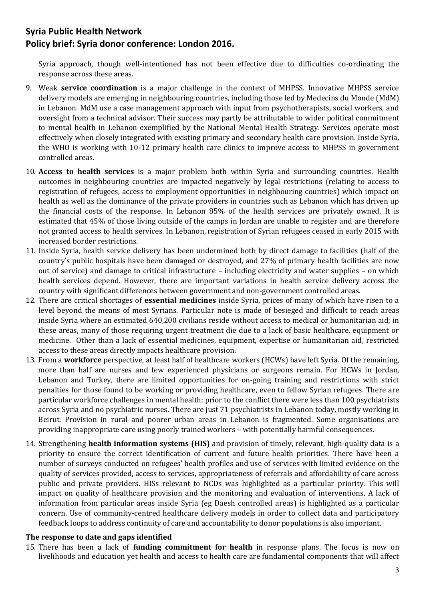Syria approach, though well-intentioned has not been effective due to difficulties co-ordinating the response across these areas.

- 9. Weak **service coordination** is a major challenge in the context of MHPSS. Innovative MHPSS service delivery models are emerging in neighbouring countries, including those led by Medecins du Monde (MdM) in Lebanon. MdM use a case management approach with input from psychotherapists, social workers, and oversight from a technical advisor. Their success may partly be attributable to wider political commitment to mental health in Lebanon exemplified by the National Mental Health Strategy. Services operate most effectively when closely integrated with existing primary and secondary health care provision. Inside Syria, the WHO is working with 10-12 primary health care clinics to improve access to MHPSS in government controlled areas.
- 10. **Access to health services** is a major problem both within Syria and surrounding countries. Health outcomes in neighbouring countries are impacted negatively by legal restrictions (relating to access to registration of refugees, access to employment opportunities in neighbouring countries) which impact on health as well as the dominance of the private providers in countries such as Lebanon which has driven up the financial costs of the response. In Lebanon 85% of the health services are privately owned. It is estimated that 45% of those living outside of the camps in Jordan are unable to register and are therefore not granted access to health services. In Lebanon, registration of Syrian refugees ceased in early 2015 with increased border restrictions.
- 11. Inside Syria, health service delivery has been undermined both by direct damage to facilities (half of the country's public hospitals have been damaged or destroyed, and 27% of primary health facilities are now out of service) and damage to critical infrastructure – including electricity and water supplies – on which health services depend. However, there are important variations in health service delivery across the country with significant differences between government and non-government controlled areas.
- 12. There are critical shortages of **essential medicines** inside Syria, prices of many of which have risen to a level beyond the means of most Syrians. Particular note is made of besieged and difficult to reach areas inside Syria where an estimated 640,200 civilians reside without access to medical or humanitarian aid; in these areas, many of those requiring urgent treatment die due to a lack of basic healthcare, equipment or medicine. Other than a lack of essential medicines, equipment, expertise or humanitarian aid, restricted access to these areas directly impacts healthcare provision.
- 13. From a **workforce** perspective, at least half of healthcare workers (HCWs) have left Syria. Of the remaining, more than half are nurses and few experienced physicians or surgeons remain. For HCWs in Jordan, Lebanon and Turkey, there are limited opportunities for on-going training and restrictions with strict penalties for those found to be working or providing healthcare, even to fellow Syrian refugees. There are particular workforce challenges in mental health: prior to the conflict there were less than 100 psychiatrists across Syria and no psychiatric nurses. There are just 71 psychiatrists in Lebanon today, mostly working in Beirut. Provision in rural and poorer urban areas in Lebanon is fragmented. Some organisations are providing inappropriate care using poorly trained workers – with potentially harmful consequences.
- 14. Strengthening **health information systems (HIS)** and provision of timely, relevant, high-quality data is a priority to ensure the correct identification of current and future health priorities. There have been a number of surveys conducted on refugees' health profiles and use of services with limited evidence on the quality of services provided, access to services, appropriateness of referrals and affordability of care across public and private providers. HISs relevant to NCDs was highlighted as a particular priority. This will impact on quality of healthcare provision and the monitoring and evaluation of interventions. A lack of information from particular areas inside Syria (eg Daesh controlled areas) is highlighted as a particular concern. Use of community-centred healthcare delivery models in order to collect data and participatory feedback loops to address continuity of care and accountability to donor populations is also important.

### **The response to date and gaps identified**

15. There has been a lack of **funding commitment for health** in response plans. The focus is now on livelihoods and education yet health and access to health care are fundamental components that will affect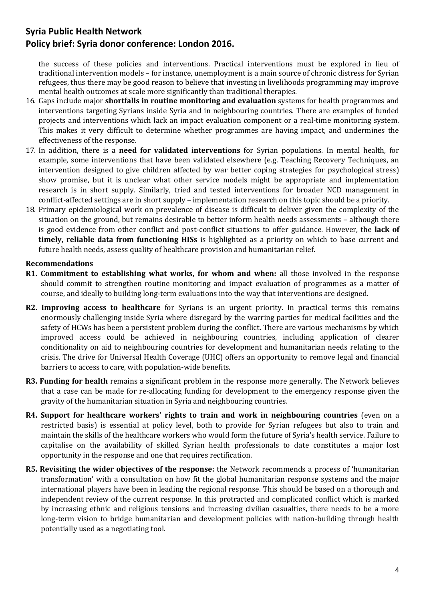the success of these policies and interventions. Practical interventions must be explored in lieu of traditional intervention models – for instance, unemployment is a main source of chronic distress for Syrian refugees, thus there may be good reason to believe that investing in livelihoods programming may improve mental health outcomes at scale more significantly than traditional therapies.

- 16. Gaps include major **shortfalls in routine monitoring and evaluation** systems for health programmes and interventions targeting Syrians inside Syria and in neighbouring countries. There are examples of funded projects and interventions which lack an impact evaluation component or a real-time monitoring system. This makes it very difficult to determine whether programmes are having impact, and undermines the effectiveness of the response.
- 17. In addition, there is a **need for validated interventions** for Syrian populations. In mental health, for example, some interventions that have been validated elsewhere (e.g. Teaching Recovery Techniques, an intervention designed to give children affected by war better coping strategies for psychological stress) show promise, but it is unclear what other service models might be appropriate and implementation research is in short supply. Similarly, tried and tested interventions for broader NCD management in conflict-affected settings are in short supply – implementation research on this topic should be a priority.
- 18. Primary epidemiological work on prevalence of disease is difficult to deliver given the complexity of the situation on the ground, but remains desirable to better inform health needs assessments – although there is good evidence from other conflict and post-conflict situations to offer guidance. However, the **lack of timely, reliable data from functioning HISs** is highlighted as a priority on which to base current and future health needs, assess quality of healthcare provision and humanitarian relief.

### **Recommendations**

- **R1. Commitment to establishing what works, for whom and when:** all those involved in the response should commit to strengthen routine monitoring and impact evaluation of programmes as a matter of course, and ideally to building long-term evaluations into the way that interventions are designed.
- **R2. Improving access to healthcare** for Syrians is an urgent priority. In practical terms this remains enormously challenging inside Syria where disregard by the warring parties for medical facilities and the safety of HCWs has been a persistent problem during the conflict. There are various mechanisms by which improved access could be achieved in neighbouring countries, including application of clearer conditionality on aid to neighbouring countries for development and humanitarian needs relating to the crisis. The drive for Universal Health Coverage (UHC) offers an opportunity to remove legal and financial barriers to access to care, with population-wide benefits.
- **R3. Funding for health** remains a significant problem in the response more generally. The Network believes that a case can be made for re-allocating funding for development to the emergency response given the gravity of the humanitarian situation in Syria and neighbouring countries.
- **R4. Support for healthcare workers' rights to train and work in neighbouring countries** (even on a restricted basis) is essential at policy level, both to provide for Syrian refugees but also to train and maintain the skills of the healthcare workers who would form the future of Syria's health service. Failure to capitalise on the availability of skilled Syrian health professionals to date constitutes a major lost opportunity in the response and one that requires rectification.
- **R5. Revisiting the wider objectives of the response:** the Network recommends a process of 'humanitarian transformation' with a consultation on how fit the global humanitarian response systems and the major international players have been in leading the regional response. This should be based on a thorough and independent review of the current response. In this protracted and complicated conflict which is marked by increasing ethnic and religious tensions and increasing civilian casualties, there needs to be a more long-term vision to bridge humanitarian and development policies with nation-building through health potentially used as a negotiating tool.